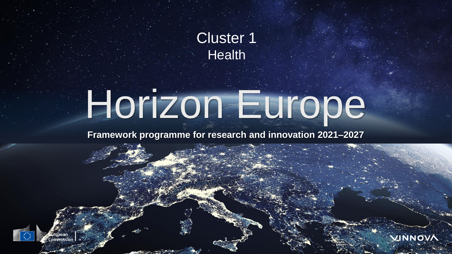

# Horizon Europe

### **Framework programme for research and innovation 2021–2027**

**1**

VINNOVA

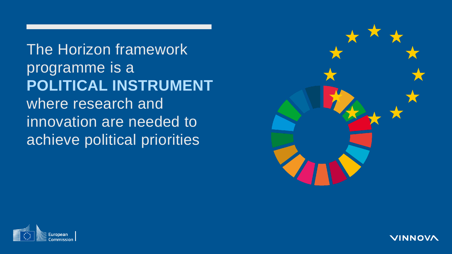The Horizon framework programme is a **POLITICAL INSTRUMENT** where research and innovation are needed to achieve political priorities





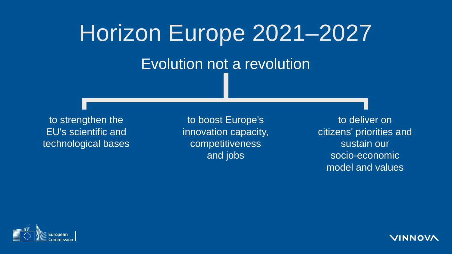# Horizon Europe 2021–2027 Evolution not a revolution

to strengthen the EU's scientific and technological bases

to boost Europe's innovation capacity, competitiveness and jobs

to deliver on citizens' priorities and sustain our socio-economic model and values



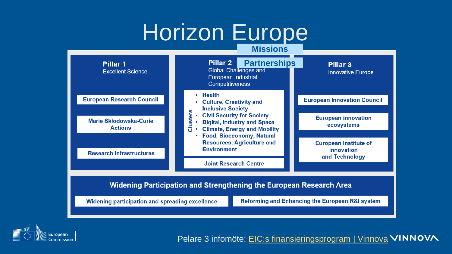### Horizon Europe

#### **Missions**





Pelare 3 infomöte: EIC:s [finansieringsprogram | Vinnova](https://www.vinnova.se/kalenderhandelser/20222/03/eics-finansieringsprogram-for-banbrytande-teknologier/) VINNOVA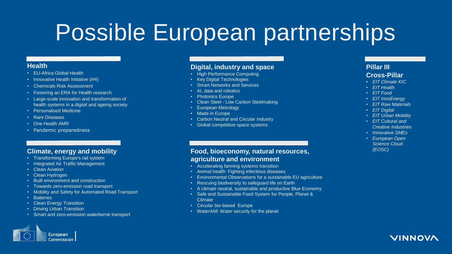### Possible European partnerships

#### **Health**

- EU-Africa Global Health
- Innovative Health Initiative (IHI)
- Chemicals Risk Assessment
- Fostering an ERA for Health research
- Large-scale innovation and transformation of health systems in a digital and ageing society
- Personalised Medicine
- Rare Diseases
- One Health AMR
- Pandemic preparedness

#### **Climate, energy and mobility**

- Transforming Europe's rail system
- Integrated Air Traffic Management
- **Clean Aviation**
- Clean Hydrogen
- Built environment and construction
- Towards zero-emission road transport
- Mobility and Safety for Automated Road Transport
- Batteries
- Clean Energy Transition
- Driving Urban Transition
- Smart and zero-emission waterborne transport

#### **Digital, industry and space**

- High Performance Computing
- Key Digital Technologies
- **Smart Networks and Services**
- AI, data and robotics
- Photonics Europe
- Clean Steel Low Carbon Steelmaking
- European Metrology
- Made in Europe
- Carbon Neutral and Circular Industry
- Global competitive space systems

#### **Food, bioeconomy, natural resources, agriculture and environment**

- Accelerating farming systems transition
- Animal health: Fighting infectious diseases
- Environmental Observations for a sustainable EU agriculture
- Rescuing biodiversity to safeguard life on Earth
- A climate neutral, sustainable and productive Blue Economy
- Safe and Sustainable Food System for People, Planet & Climate
- Circular bio-based Europe
- Water4All: Water security for the planet

#### **Pillar III Cross-Pillar**

- *EIT Climate KIC*
- *EIT Health*
- *EIT Food*
- *EIT InnoEnergy*
- *EIT Raw Materials*
- *EIT Digital*
- *EIT Urban Mobility*
- *EIT Cultural and Creative Industries*
- *Innovative SMEs*
- *European Open Science Cloud (EOSC)*



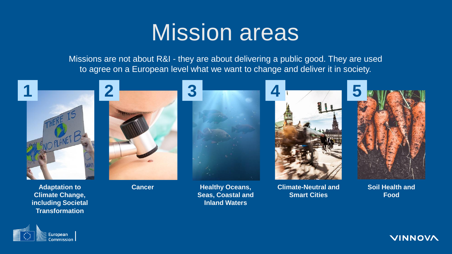### Mission areas

Missions are not about R&I - they are about delivering a public good. They are used to agree on a European level what we want to change and deliver it in society.



**Adaptation to Climate Change, including Societal Transformation** 

**Cancer Healthy Oceans, Seas, Coastal and Inland Waters**

**Climate-Neutral and Smart Cities** 

**Soil Health and Food**



**VINNOVA**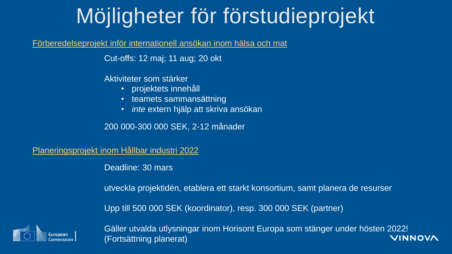### Möjligheter för förstudieprojekt

#### [Förberedelseprojekt inför internationell ansökan inom hälsa och mat](https://www.vinnova.se/e/utlysning-2021-01671/forberedelseprojekt-infor-2022-00046/)

Cut-offs: 12 maj; 11 aug; 20 okt

Aktiviteter som stärker

- projektets innehåll
- teamets sammansättning
- *inte* extern hjälp att skriva ansökan

200 000-300 000 SEK, 2-12 månader

[Planeringsprojekt inom Hållbar industri 2022](https://www.vinnova.se/e/utlysning-framja-deltagandet-i-horisont-europa/framja-svenskt-deltagande-i-horisont-2021-03954/)

Deadline: 30 mars

utveckla projektidén, etablera ett starkt konsortium, samt planera de resurser

Upp till 500 000 SEK (koordinator), resp. 300 000 SEK (partner)



Gäller utvalda utlysningar inom Horisont Europa som stänger under hösten 2022! (Fortsättning planerat)VINNOVA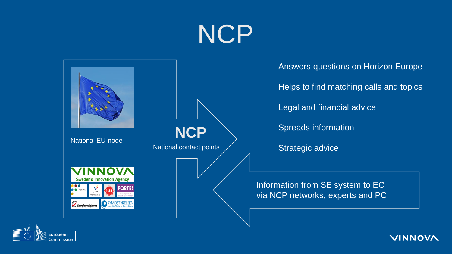# NCP





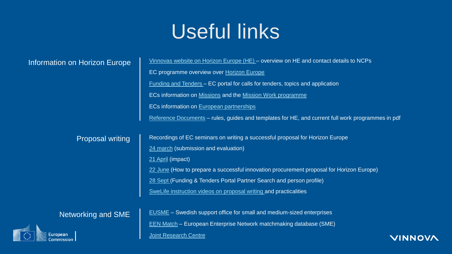### Useful links

| Information on Horizon Europe | Vinnovas website on Horizon Europe (HE) - overview on HE and contact details to NCPs              |
|-------------------------------|---------------------------------------------------------------------------------------------------|
|                               | EC programme overview over Horizon Europe                                                         |
|                               | <u>Funding and Tenders</u> – EC portal for calls for tenders, topics and application              |
|                               | ECs information on Missions and the Mission Work programme                                        |
|                               | ECs information on European partnerships                                                          |
|                               | Reference Documents - rules, guides and templates for HE, and current full work programmes in pdf |
|                               |                                                                                                   |
| <b>Proposal writing</b>       | Recordings of EC seminars on writing a successful proposal for Horizon Europe                     |
|                               | 24 march (submission and evaluation)                                                              |
|                               | 21 April (impact)                                                                                 |
|                               | 22 June (How to prepare a successful innovation procurement proposal for Horizon Europe)          |
|                               | 28 Sept (Funding & Tenders Portal Partner Search and person profile)                              |
|                               | SweLife instruction videos on proposal writing and practicalities                                 |
|                               |                                                                                                   |
| Networking and SME            | <b>EUSME</b> – Swedish support office for small and medium-sized enterprises                      |
| $\sqrt{2}$                    | <b>EEN Match - European Enterprise Network matchmaking database (SME)</b>                         |



**[Joint Research Centre](https://ec.europa.eu/jrc/en/)** 

VINNOVA